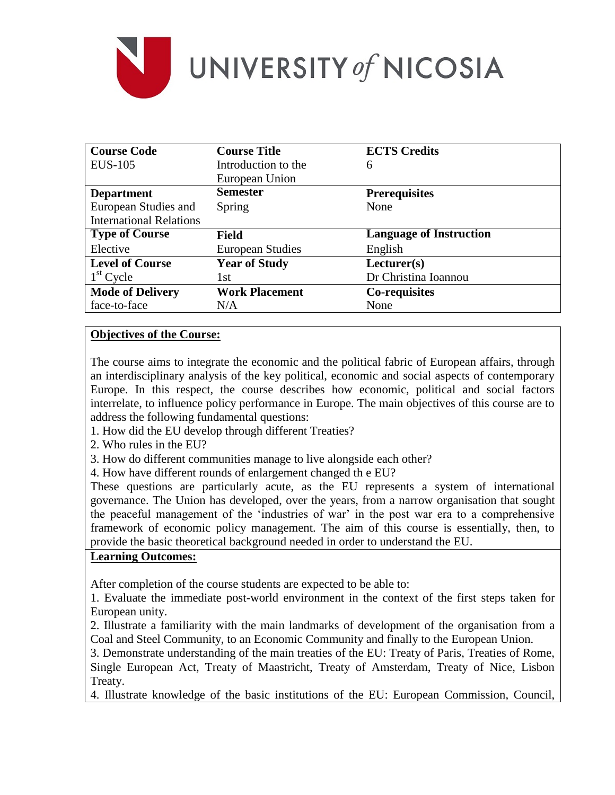

| <b>Course Code</b>             | <b>Course Title</b>     | <b>ECTS Credits</b>            |
|--------------------------------|-------------------------|--------------------------------|
| <b>EUS-105</b>                 | Introduction to the     | 6                              |
|                                | European Union          |                                |
| <b>Department</b>              | <b>Semester</b>         | <b>Prerequisites</b>           |
| European Studies and           | Spring                  | None                           |
| <b>International Relations</b> |                         |                                |
| <b>Type of Course</b>          | <b>Field</b>            | <b>Language of Instruction</b> |
| Elective                       | <b>European Studies</b> | English                        |
| <b>Level of Course</b>         | <b>Year of Study</b>    | Lecturer(s)                    |
| $1st$ Cycle                    | 1st                     | Dr Christina Ioannou           |
| <b>Mode of Delivery</b>        | <b>Work Placement</b>   | Co-requisites                  |
| face-to-face                   | N/A                     | None                           |

### **Objectives of the Course:**

The course aims to integrate the economic and the political fabric of European affairs, through an interdisciplinary analysis of the key political, economic and social aspects of contemporary Europe. In this respect, the course describes how economic, political and social factors interrelate, to influence policy performance in Europe. The main objectives of this course are to address the following fundamental questions:

- 1. How did the EU develop through different Treaties?
- 2. Who rules in the EU?
- 3. How do different communities manage to live alongside each other?
- 4. How have different rounds of enlargement changed th e EU?

These questions are particularly acute, as the EU represents a system of international governance. The Union has developed, over the years, from a narrow organisation that sought the peaceful management of the 'industries of war' in the post war era to a comprehensive framework of economic policy management. The aim of this course is essentially, then, to provide the basic theoretical background needed in order to understand the EU.

#### **Learning Outcomes:**

After completion of the course students are expected to be able to:

1. Evaluate the immediate post-world environment in the context of the first steps taken for European unity.

2. Illustrate a familiarity with the main landmarks of development of the organisation from a Coal and Steel Community, to an Economic Community and finally to the European Union.

3. Demonstrate understanding of the main treaties of the EU: Treaty of Paris, Treaties of Rome, Single European Act, Treaty of Maastricht, Treaty of Amsterdam, Treaty of Nice, Lisbon Treaty.

4. Illustrate knowledge of the basic institutions of the EU: European Commission, Council,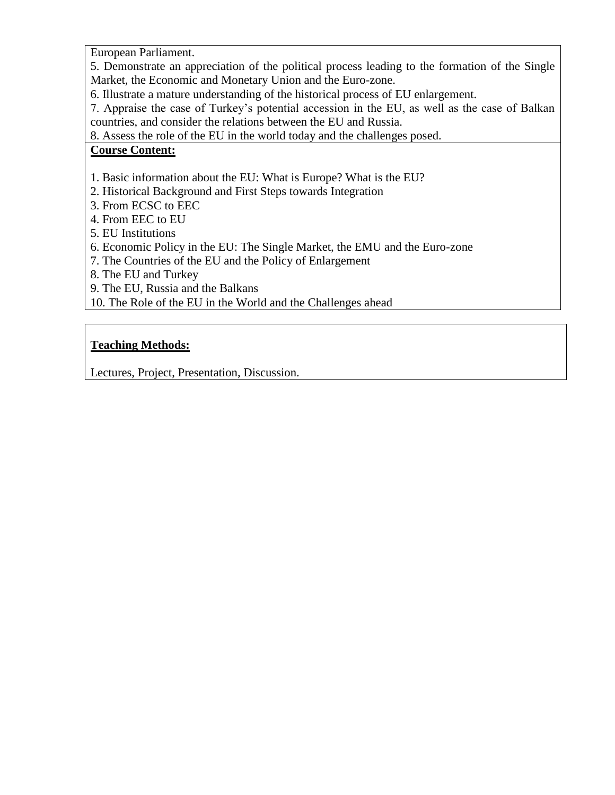European Parliament.

5. Demonstrate an appreciation of the political process leading to the formation of the Single Market, the Economic and Monetary Union and the Euro-zone.

6. Illustrate a mature understanding of the historical process of EU enlargement.

7. Appraise the case of Turkey's potential accession in the EU, as well as the case of Balkan countries, and consider the relations between the EU and Russia.

8. Assess the role of the EU in the world today and the challenges posed.

### **Course Content:**

- 1. Basic information about the EU: What is Europe? What is the EU?
- 2. Historical Background and First Steps towards Integration
- 3. From ECSC to EEC
- 4. From EEC to EU
- 5. EU Institutions
- 6. Economic Policy in the EU: The Single Market, the EMU and the Euro-zone
- 7. The Countries of the EU and the Policy of Enlargement
- 8. The EU and Turkey
- 9. The EU, Russia and the Balkans
- 10. The Role of the EU in the World and the Challenges ahead

## **Teaching Methods:**

Lectures, Project, Presentation, Discussion.